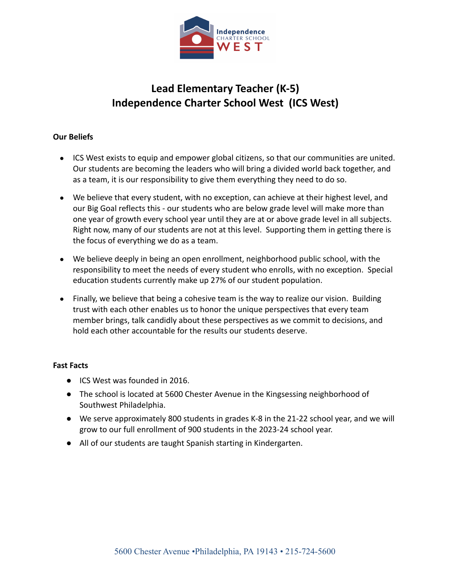

# **Lead Elementary Teacher (K-5) Independence Charter School West (ICS West)**

# **Our Beliefs**

- ICS West exists to equip and empower global citizens, so that our communities are united. Our students are becoming the leaders who will bring a divided world back together, and as a team, it is our responsibility to give them everything they need to do so.
- We believe that every student, with no exception, can achieve at their highest level, and our Big Goal reflects this - our students who are below grade level will make more than one year of growth every school year until they are at or above grade level in all subjects. Right now, many of our students are not at this level. Supporting them in getting there is the focus of everything we do as a team.
- We believe deeply in being an open enrollment, neighborhood public school, with the responsibility to meet the needs of every student who enrolls, with no exception. Special education students currently make up 27% of our student population.
- Finally, we believe that being a cohesive team is the way to realize our vision. Building trust with each other enables us to honor the unique perspectives that every team member brings, talk candidly about these perspectives as we commit to decisions, and hold each other accountable for the results our students deserve.

# **Fast Facts**

- ICS West was founded in 2016.
- The school is located at 5600 Chester Avenue in the Kingsessing neighborhood of Southwest Philadelphia.
- We serve approximately 800 students in grades K-8 in the 21-22 school year, and we will grow to our full enrollment of 900 students in the 2023-24 school year.
- All of our students are taught Spanish starting in Kindergarten.